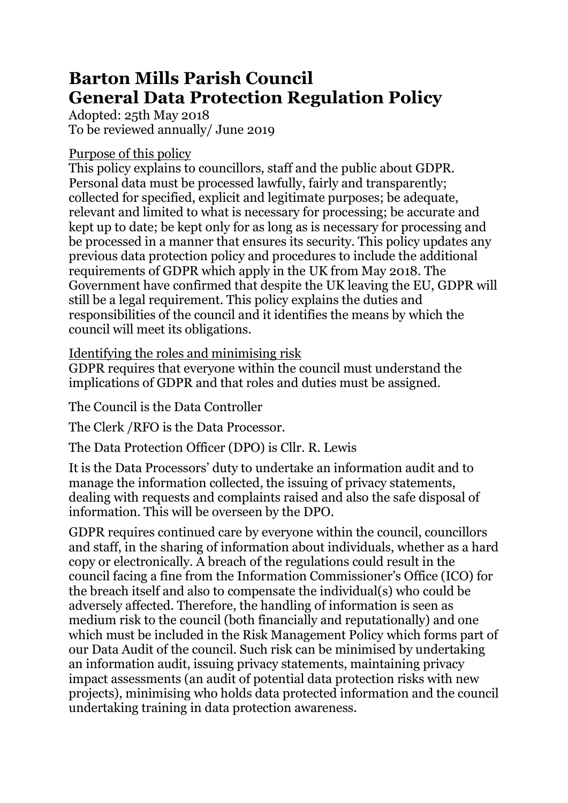# **Barton Mills Parish Council General Data Protection Regulation Policy**

Adopted: 25th May 2018 To be reviewed annually/ June 2019

#### Purpose of this policy

This policy explains to councillors, staff and the public about GDPR. Personal data must be processed lawfully, fairly and transparently; collected for specified, explicit and legitimate purposes; be adequate, relevant and limited to what is necessary for processing; be accurate and kept up to date; be kept only for as long as is necessary for processing and be processed in a manner that ensures its security. This policy updates any previous data protection policy and procedures to include the additional requirements of GDPR which apply in the UK from May 2018. The Government have confirmed that despite the UK leaving the EU, GDPR will still be a legal requirement. This policy explains the duties and responsibilities of the council and it identifies the means by which the council will meet its obligations.

#### Identifying the roles and minimising risk

GDPR requires that everyone within the council must understand the implications of GDPR and that roles and duties must be assigned.

The Council is the Data Controller

The Clerk /RFO is the Data Processor.

The Data Protection Officer (DPO) is Cllr. R. Lewis

It is the Data Processors' duty to undertake an information audit and to manage the information collected, the issuing of privacy statements, dealing with requests and complaints raised and also the safe disposal of information. This will be overseen by the DPO.

GDPR requires continued care by everyone within the council, councillors and staff, in the sharing of information about individuals, whether as a hard copy or electronically. A breach of the regulations could result in the council facing a fine from the Information Commissioner's Office (ICO) for the breach itself and also to compensate the individual(s) who could be adversely affected. Therefore, the handling of information is seen as medium risk to the council (both financially and reputationally) and one which must be included in the Risk Management Policy which forms part of our Data Audit of the council. Such risk can be minimised by undertaking an information audit, issuing privacy statements, maintaining privacy impact assessments (an audit of potential data protection risks with new projects), minimising who holds data protected information and the council undertaking training in data protection awareness.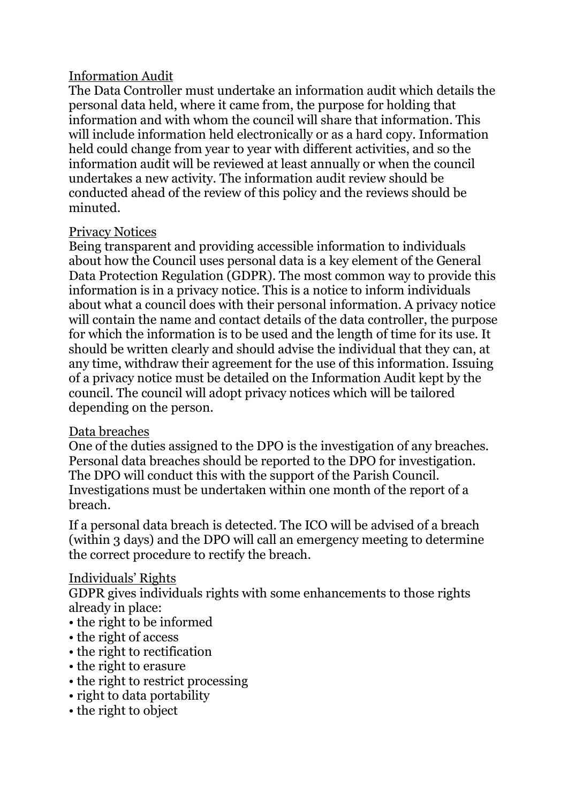### Information Audit

The Data Controller must undertake an information audit which details the personal data held, where it came from, the purpose for holding that information and with whom the council will share that information. This will include information held electronically or as a hard copy. Information held could change from year to year with different activities, and so the information audit will be reviewed at least annually or when the council undertakes a new activity. The information audit review should be conducted ahead of the review of this policy and the reviews should be minuted.

#### Privacy Notices

Being transparent and providing accessible information to individuals about how the Council uses personal data is a key element of the General Data Protection Regulation (GDPR). The most common way to provide this information is in a privacy notice. This is a notice to inform individuals about what a council does with their personal information. A privacy notice will contain the name and contact details of the data controller, the purpose for which the information is to be used and the length of time for its use. It should be written clearly and should advise the individual that they can, at any time, withdraw their agreement for the use of this information. Issuing of a privacy notice must be detailed on the Information Audit kept by the council. The council will adopt privacy notices which will be tailored depending on the person.

#### Data breaches

One of the duties assigned to the DPO is the investigation of any breaches. Personal data breaches should be reported to the DPO for investigation. The DPO will conduct this with the support of the Parish Council. Investigations must be undertaken within one month of the report of a breach.

If a personal data breach is detected. The ICO will be advised of a breach (within 3 days) and the DPO will call an emergency meeting to determine the correct procedure to rectify the breach.

## Individuals' Rights

GDPR gives individuals rights with some enhancements to those rights already in place:

- the right to be informed
- the right of access
- the right to rectification
- the right to erasure
- the right to restrict processing
- right to data portability
- the right to object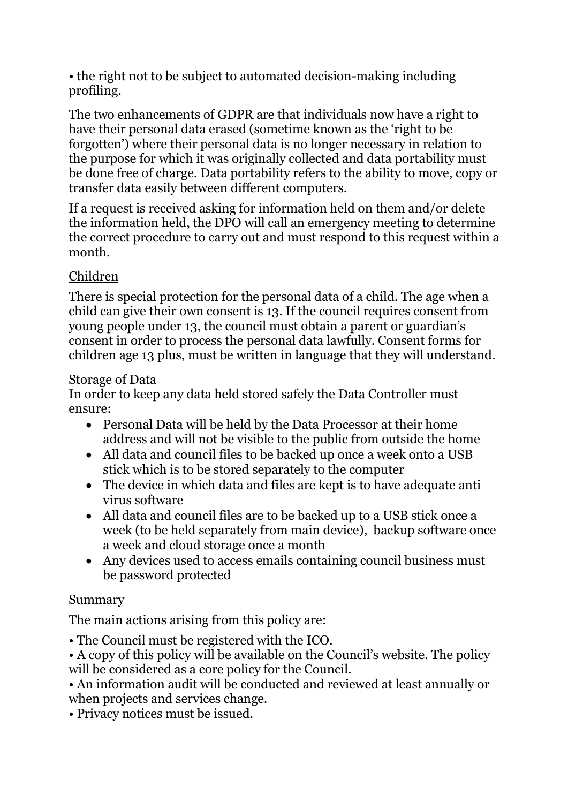• the right not to be subject to automated decision-making including profiling.

The two enhancements of GDPR are that individuals now have a right to have their personal data erased (sometime known as the 'right to be forgotten') where their personal data is no longer necessary in relation to the purpose for which it was originally collected and data portability must be done free of charge. Data portability refers to the ability to move, copy or transfer data easily between different computers.

If a request is received asking for information held on them and/or delete the information held, the DPO will call an emergency meeting to determine the correct procedure to carry out and must respond to this request within a month.

## Children

There is special protection for the personal data of a child. The age when a child can give their own consent is 13. If the council requires consent from young people under 13, the council must obtain a parent or guardian's consent in order to process the personal data lawfully. Consent forms for children age 13 plus, must be written in language that they will understand.

#### Storage of Data

In order to keep any data held stored safely the Data Controller must ensure:

- Personal Data will be held by the Data Processor at their home address and will not be visible to the public from outside the home
- All data and council files to be backed up once a week onto a USB stick which is to be stored separately to the computer
- The device in which data and files are kept is to have adequate anti virus software
- All data and council files are to be backed up to a USB stick once a week (to be held separately from main device), backup software once a week and cloud storage once a month
- Any devices used to access emails containing council business must be password protected

## **Summary**

The main actions arising from this policy are:

- The Council must be registered with the ICO.
- A copy of this policy will be available on the Council's website. The policy will be considered as a core policy for the Council.
- An information audit will be conducted and reviewed at least annually or when projects and services change.
- Privacy notices must be issued.